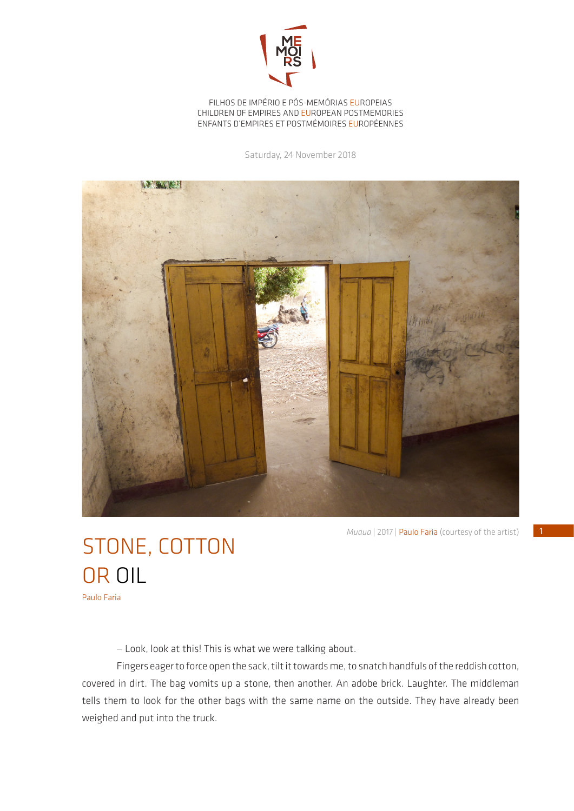

FILHOS DE IMPÉRIO E PÓS-MEMÓRIAS EUROPEIAS CHILDREN OF EMPIRES AND EUROPEAN POSTMEMORIES ENFANTS D'EMPIRES ET POSTMÉMOIRES EUROPÉENNES

Saturday, 24 November 2018



*Muaua* | 2017 | Paulo Faria (courtesy of the artist)

## STONE, COTTON OR OIL Paulo Faria

— Look, look at this! This is what we were talking about.

Fingers eager to force open the sack, tilt it towards me, to snatch handfuls of the reddish cotton, covered in dirt. The bag vomits up a stone, then another. An adobe brick. Laughter. The middleman tells them to look for the other bags with the same name on the outside. They have already been weighed and put into the truck.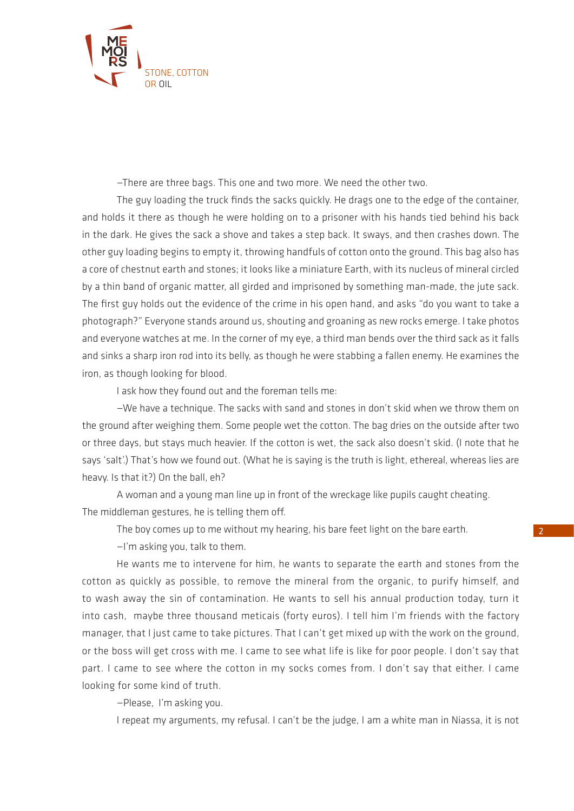

—There are three bags. This one and two more. We need the other two.

The guy loading the truck finds the sacks quickly. He drags one to the edge of the container, and holds it there as though he were holding on to a prisoner with his hands tied behind his back in the dark. He gives the sack a shove and takes a step back. It sways, and then crashes down. The other guy loading begins to empty it, throwing handfuls of cotton onto the ground. This bag also has a core of chestnut earth and stones; it looks like a miniature Earth, with its nucleus of mineral circled by a thin band of organic matter, all girded and imprisoned by something man-made, the jute sack. The first guy holds out the evidence of the crime in his open hand, and asks "do you want to take a photograph?" Everyone stands around us, shouting and groaning as new rocks emerge. I take photos and everyone watches at me. In the corner of my eye, a third man bends over the third sack as it falls and sinks a sharp iron rod into its belly, as though he were stabbing a fallen enemy. He examines the iron, as though looking for blood.

I ask how they found out and the foreman tells me:

—We have a technique. The sacks with sand and stones in don't skid when we throw them on the ground after weighing them. Some people wet the cotton. The bag dries on the outside after two or three days, but stays much heavier. If the cotton is wet, the sack also doesn't skid. (I note that he says 'salt'.) That's how we found out. (What he is saying is the truth is light, ethereal, whereas lies are heavy. Is that it?) On the ball, eh?

A woman and a young man line up in front of the wreckage like pupils caught cheating. The middleman gestures, he is telling them off.

The boy comes up to me without my hearing, his bare feet light on the bare earth.

—I'm asking you, talk to them.

He wants me to intervene for him, he wants to separate the earth and stones from the cotton as quickly as possible, to remove the mineral from the organic, to purify himself, and to wash away the sin of contamination. He wants to sell his annual production today, turn it into cash, maybe three thousand meticais (forty euros). I tell him I'm friends with the factory manager, that I just came to take pictures. That I can't get mixed up with the work on the ground, or the boss will get cross with me. I came to see what life is like for poor people. I don't say that part. I came to see where the cotton in my socks comes from. I don't say that either. I came looking for some kind of truth.

—Please, I'm asking you.

I repeat my arguments, my refusal. I can't be the judge, I am a white man in Niassa, it is not